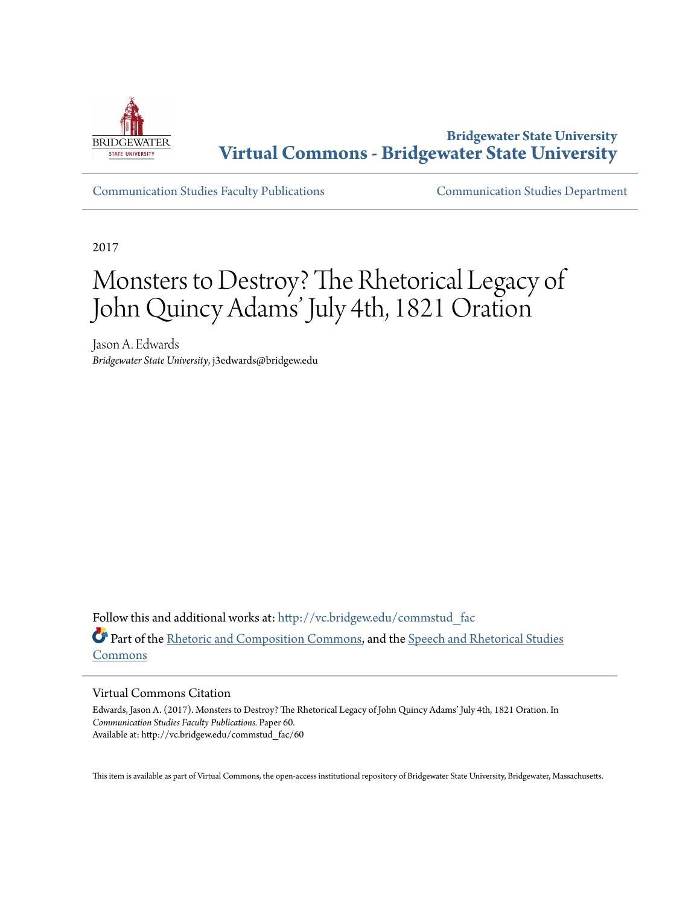

**Bridgewater State University [Virtual Commons - Bridgewater State University](http://vc.bridgew.edu?utm_source=vc.bridgew.edu%2Fcommstud_fac%2F60&utm_medium=PDF&utm_campaign=PDFCoverPages)**

[Communication Studies Faculty Publications](http://vc.bridgew.edu/commstud_fac?utm_source=vc.bridgew.edu%2Fcommstud_fac%2F60&utm_medium=PDF&utm_campaign=PDFCoverPages) [Communication Studies Department](http://vc.bridgew.edu/commstud?utm_source=vc.bridgew.edu%2Fcommstud_fac%2F60&utm_medium=PDF&utm_campaign=PDFCoverPages)

2017

# Monsters to Destroy? The Rhetorical Legacy of John Quincy Adams' July 4th, 1821 Oration

Jason A. Edwards *Bridgewater State University*, j3edwards@bridgew.edu

Follow this and additional works at: [http://vc.bridgew.edu/commstud\\_fac](http://vc.bridgew.edu/commstud_fac?utm_source=vc.bridgew.edu%2Fcommstud_fac%2F60&utm_medium=PDF&utm_campaign=PDFCoverPages) Part of the [Rhetoric and Composition Commons,](http://network.bepress.com/hgg/discipline/573?utm_source=vc.bridgew.edu%2Fcommstud_fac%2F60&utm_medium=PDF&utm_campaign=PDFCoverPages) and the [Speech and Rhetorical Studies](http://network.bepress.com/hgg/discipline/338?utm_source=vc.bridgew.edu%2Fcommstud_fac%2F60&utm_medium=PDF&utm_campaign=PDFCoverPages) [Commons](http://network.bepress.com/hgg/discipline/338?utm_source=vc.bridgew.edu%2Fcommstud_fac%2F60&utm_medium=PDF&utm_campaign=PDFCoverPages)

#### Virtual Commons Citation

Edwards, Jason A. (2017). Monsters to Destroy? The Rhetorical Legacy of John Quincy Adams' July 4th, 1821 Oration. In *Communication Studies Faculty Publications.* Paper 60. Available at: http://vc.bridgew.edu/commstud\_fac/60

This item is available as part of Virtual Commons, the open-access institutional repository of Bridgewater State University, Bridgewater, Massachusetts.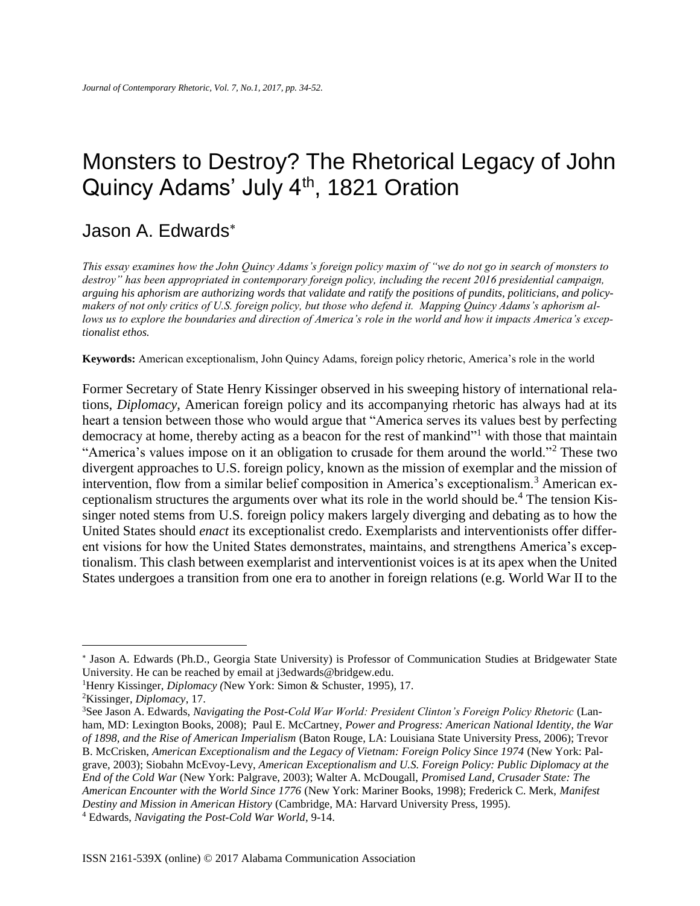## Monsters to Destroy? The Rhetorical Legacy of John Quincy Adams' July 4<sup>th</sup>, 1821 Oration

### Jason A. Edwards

*This essay examines how the John Quincy Adams's foreign policy maxim of "we do not go in search of monsters to destroy" has been appropriated in contemporary foreign policy, including the recent 2016 presidential campaign, arguing his aphorism are authorizing words that validate and ratify the positions of pundits, politicians, and policymakers of not only critics of U.S. foreign policy, but those who defend it. Mapping Quincy Adams's aphorism allows us to explore the boundaries and direction of America's role in the world and how it impacts America's exceptionalist ethos.* 

**Keywords:** American exceptionalism, John Quincy Adams, foreign policy rhetoric, America's role in the world

Former Secretary of State Henry Kissinger observed in his sweeping history of international relations, *Diplomacy*, American foreign policy and its accompanying rhetoric has always had at its heart a tension between those who would argue that "America serves its values best by perfecting democracy at home, thereby acting as a beacon for the rest of mankind"<sup>1</sup> with those that maintain "America's values impose on it an obligation to crusade for them around the world."<sup>2</sup> These two divergent approaches to U.S. foreign policy, known as the mission of exemplar and the mission of intervention, flow from a similar belief composition in America's exceptionalism.<sup>3</sup> American exceptionalism structures the arguments over what its role in the world should be.<sup>4</sup> The tension Kissinger noted stems from U.S. foreign policy makers largely diverging and debating as to how the United States should *enact* its exceptionalist credo. Exemplarists and interventionists offer different visions for how the United States demonstrates, maintains, and strengthens America's exceptionalism. This clash between exemplarist and interventionist voices is at its apex when the United States undergoes a transition from one era to another in foreign relations (e.g. World War II to the

<sup>\*</sup> Jason A. Edwards (Ph.D., Georgia State University) is Professor of Communication Studies at Bridgewater State University. He can be reached by email at j3edwards@bridgew.edu.

<sup>1</sup>Henry Kissinger, *Diplomacy (*New York: Simon & Schuster, 1995), 17.

<sup>2</sup>Kissinger*, Diplomacy*, 17.

<sup>&</sup>lt;sup>3</sup>See Jason A. Edwards, *Navigating the Post-Cold War World: President Clinton's Foreign Policy Rhetoric (Lan*ham, MD: Lexington Books, 2008); Paul E. McCartney, *Power and Progress: American National Identity, the War of 1898, and the Rise of American Imperialism* (Baton Rouge, LA: Louisiana State University Press, 2006); Trevor B. McCrisken, *American Exceptionalism and the Legacy of Vietnam: Foreign Policy Since 1974* (New York: Palgrave, 2003); Siobahn McEvoy-Levy, *American Exceptionalism and U.S. Foreign Policy: Public Diplomacy at the End of the Cold War* (New York: Palgrave, 2003); Walter A. McDougall, *Promised Land, Crusader State: The American Encounter with the World Since 1776* (New York: Mariner Books, 1998); Frederick C. Merk, *Manifest Destiny and Mission in American History* (Cambridge, MA: Harvard University Press, 1995).

<sup>4</sup> Edwards, *Navigating the Post-Cold War World*, 9-14.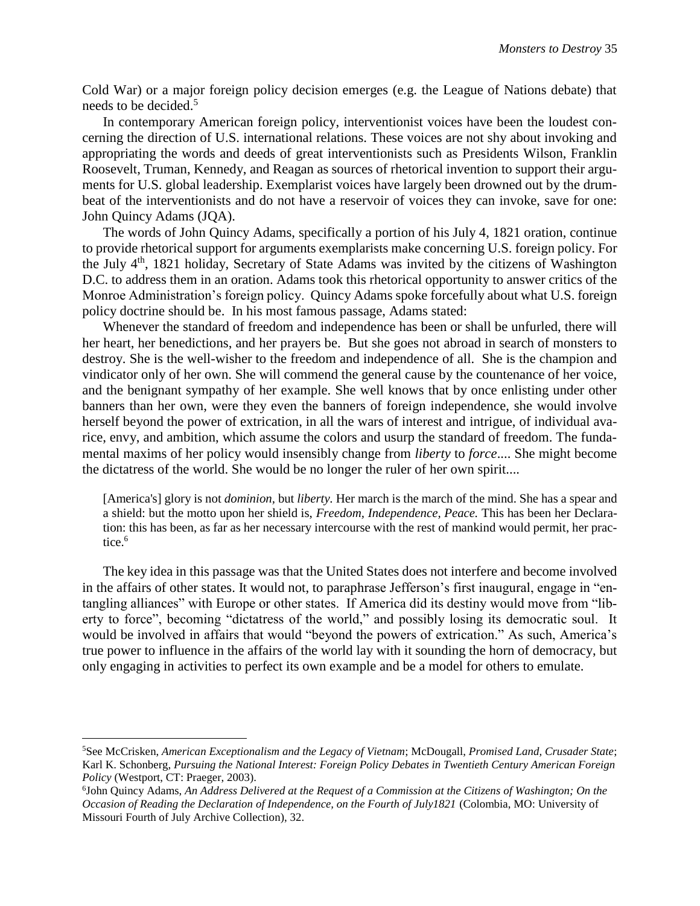Cold War) or a major foreign policy decision emerges (e.g. the League of Nations debate) that needs to be decided.<sup>5</sup>

In contemporary American foreign policy, interventionist voices have been the loudest concerning the direction of U.S. international relations. These voices are not shy about invoking and appropriating the words and deeds of great interventionists such as Presidents Wilson, Franklin Roosevelt, Truman, Kennedy, and Reagan as sources of rhetorical invention to support their arguments for U.S. global leadership. Exemplarist voices have largely been drowned out by the drumbeat of the interventionists and do not have a reservoir of voices they can invoke, save for one: John Quincy Adams (JQA).

The words of John Quincy Adams, specifically a portion of his July 4, 1821 oration, continue to provide rhetorical support for arguments exemplarists make concerning U.S. foreign policy. For the July  $4<sup>th</sup>$ , 1821 holiday, Secretary of State Adams was invited by the citizens of Washington D.C. to address them in an oration. Adams took this rhetorical opportunity to answer critics of the Monroe Administration's foreign policy. Quincy Adams spoke forcefully about what U.S. foreign policy doctrine should be. In his most famous passage, Adams stated:

Whenever the standard of freedom and independence has been or shall be unfurled, there will her heart, her benedictions, and her prayers be. But she goes not abroad in search of monsters to destroy. She is the well-wisher to the freedom and independence of all. She is the champion and vindicator only of her own. She will commend the general cause by the countenance of her voice, and the benignant sympathy of her example. She well knows that by once enlisting under other banners than her own, were they even the banners of foreign independence, she would involve herself beyond the power of extrication, in all the wars of interest and intrigue, of individual avarice, envy, and ambition, which assume the colors and usurp the standard of freedom. The fundamental maxims of her policy would insensibly change from *liberty* to *force*.... She might become the dictatress of the world. She would be no longer the ruler of her own spirit....

[America's] glory is not *dominion,* but *liberty.* Her march is the march of the mind. She has a spear and a shield: but the motto upon her shield is, *Freedom, Independence, Peace.* This has been her Declaration: this has been, as far as her necessary intercourse with the rest of mankind would permit, her practice.<sup>6</sup>

The key idea in this passage was that the United States does not interfere and become involved in the affairs of other states. It would not, to paraphrase Jefferson's first inaugural, engage in "entangling alliances" with Europe or other states. If America did its destiny would move from "liberty to force", becoming "dictatress of the world," and possibly losing its democratic soul. It would be involved in affairs that would "beyond the powers of extrication." As such, America's true power to influence in the affairs of the world lay with it sounding the horn of democracy, but only engaging in activities to perfect its own example and be a model for others to emulate.

l

<sup>5</sup>See McCrisken, *American Exceptionalism and the Legacy of Vietnam*; McDougall, *Promised Land, Crusader State*; Karl K. Schonberg, *Pursuing the National Interest: Foreign Policy Debates in Twentieth Century American Foreign Policy* (Westport, CT: Praeger, 2003).

<sup>6</sup> John Quincy Adams, *An Address Delivered at the Request of a Commission at the Citizens of Washington; On the Occasion of Reading the Declaration of Independence, on the Fourth of July1821* (Colombia, MO: University of Missouri Fourth of July Archive Collection), 32.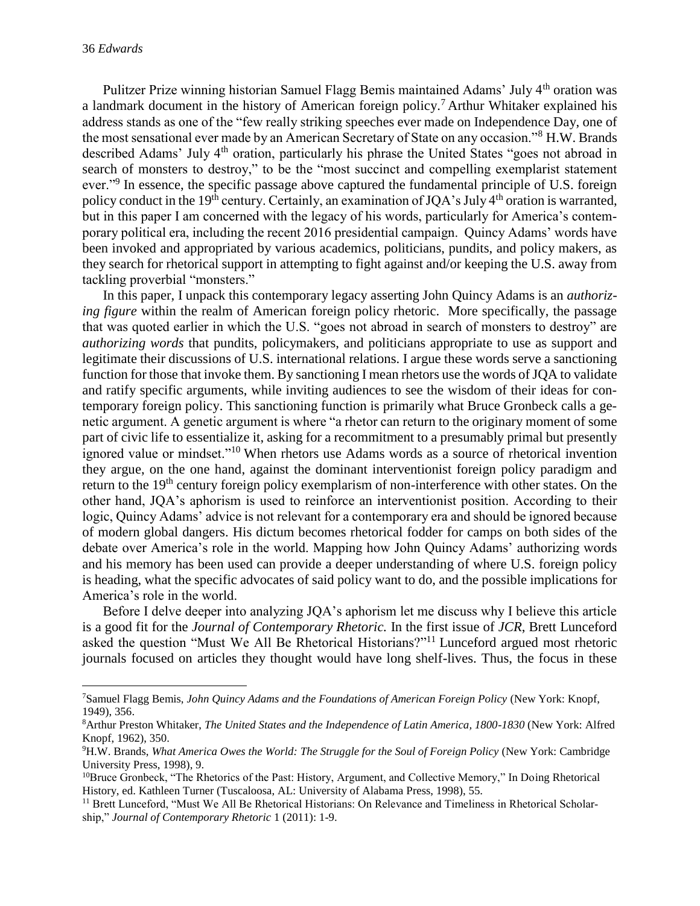$\overline{\phantom{a}}$ 

Pulitzer Prize winning historian Samuel Flagg Bemis maintained Adams' July 4th oration was a landmark document in the history of American foreign policy.<sup>7</sup> Arthur Whitaker explained his address stands as one of the "few really striking speeches ever made on Independence Day, one of the most sensational ever made by an American Secretary of State on any occasion."<sup>8</sup> H.W. Brands described Adams' July 4<sup>th</sup> oration, particularly his phrase the United States "goes not abroad in search of monsters to destroy," to be the "most succinct and compelling exemplarist statement ever."<sup>9</sup> In essence, the specific passage above captured the fundamental principle of U.S. foreign policy conduct in the 19<sup>th</sup> century. Certainly, an examination of JQA's July 4<sup>th</sup> oration is warranted, but in this paper I am concerned with the legacy of his words, particularly for America's contemporary political era, including the recent 2016 presidential campaign. Quincy Adams' words have been invoked and appropriated by various academics, politicians, pundits, and policy makers, as they search for rhetorical support in attempting to fight against and/or keeping the U.S. away from tackling proverbial "monsters."

In this paper, I unpack this contemporary legacy asserting John Quincy Adams is an *authorizing figure* within the realm of American foreign policy rhetoric. More specifically, the passage that was quoted earlier in which the U.S. "goes not abroad in search of monsters to destroy" are *authorizing words* that pundits, policymakers, and politicians appropriate to use as support and legitimate their discussions of U.S. international relations. I argue these words serve a sanctioning function for those that invoke them. By sanctioning I mean rhetors use the words of JQA to validate and ratify specific arguments, while inviting audiences to see the wisdom of their ideas for contemporary foreign policy. This sanctioning function is primarily what Bruce Gronbeck calls a genetic argument. A genetic argument is where "a rhetor can return to the originary moment of some part of civic life to essentialize it, asking for a recommitment to a presumably primal but presently ignored value or mindset."<sup>10</sup> When rhetors use Adams words as a source of rhetorical invention they argue, on the one hand, against the dominant interventionist foreign policy paradigm and return to the 19<sup>th</sup> century foreign policy exemplarism of non-interference with other states. On the other hand, JQA's aphorism is used to reinforce an interventionist position. According to their logic, Quincy Adams' advice is not relevant for a contemporary era and should be ignored because of modern global dangers. His dictum becomes rhetorical fodder for camps on both sides of the debate over America's role in the world. Mapping how John Quincy Adams' authorizing words and his memory has been used can provide a deeper understanding of where U.S. foreign policy is heading, what the specific advocates of said policy want to do, and the possible implications for America's role in the world.

Before I delve deeper into analyzing JQA's aphorism let me discuss why I believe this article is a good fit for the *Journal of Contemporary Rhetoric.* In the first issue of *JCR*, Brett Lunceford asked the question "Must We All Be Rhetorical Historians?"<sup>11</sup> Lunceford argued most rhetoric journals focused on articles they thought would have long shelf-lives. Thus, the focus in these

<sup>7</sup>Samuel Flagg Bemis, *John Quincy Adams and the Foundations of American Foreign Policy* (New York: Knopf, 1949), 356.

<sup>8</sup>Arthur Preston Whitaker, *The United States and the Independence of Latin America, 1800-1830* (New York: Alfred Knopf, 1962), 350.

<sup>9</sup>H.W. Brands, *What America Owes the World: The Struggle for the Soul of Foreign Policy* (New York: Cambridge University Press, 1998), 9.

<sup>&</sup>lt;sup>10</sup>Bruce Gronbeck, "The Rhetorics of the Past: History, Argument, and Collective Memory," In Doing Rhetorical History, ed. Kathleen Turner (Tuscaloosa, AL: University of Alabama Press, 1998), 55.

<sup>&</sup>lt;sup>11</sup> Brett Lunceford, "Must We All Be Rhetorical Historians: On Relevance and Timeliness in Rhetorical Scholarship," *Journal of Contemporary Rhetoric* 1 (2011): 1-9.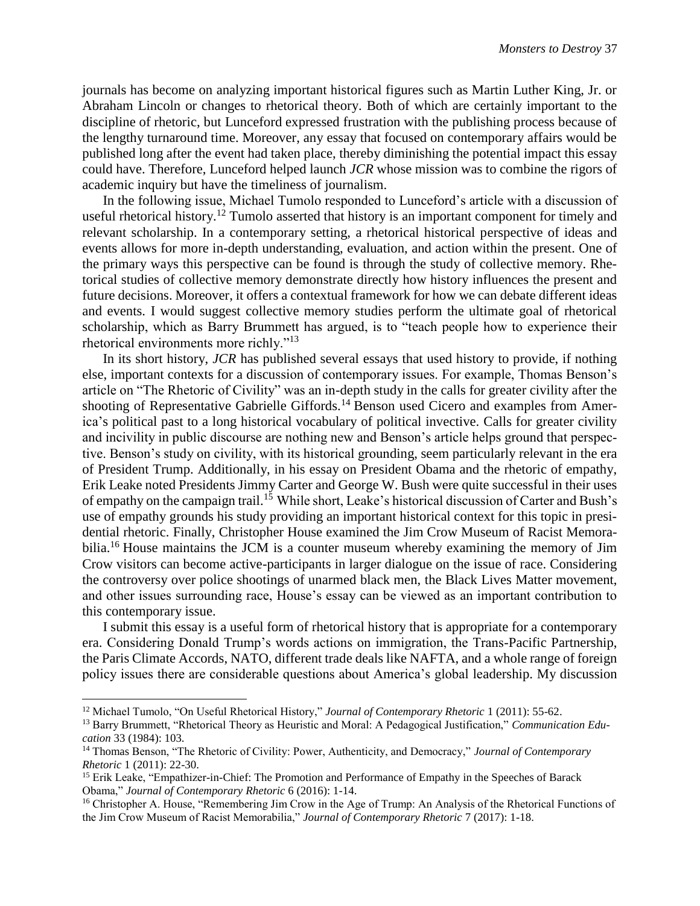journals has become on analyzing important historical figures such as Martin Luther King, Jr. or Abraham Lincoln or changes to rhetorical theory. Both of which are certainly important to the discipline of rhetoric, but Lunceford expressed frustration with the publishing process because of the lengthy turnaround time. Moreover, any essay that focused on contemporary affairs would be published long after the event had taken place, thereby diminishing the potential impact this essay could have. Therefore, Lunceford helped launch *JCR* whose mission was to combine the rigors of academic inquiry but have the timeliness of journalism.

In the following issue, Michael Tumolo responded to Lunceford's article with a discussion of useful rhetorical history.<sup>12</sup> Tumolo asserted that history is an important component for timely and relevant scholarship. In a contemporary setting, a rhetorical historical perspective of ideas and events allows for more in-depth understanding, evaluation, and action within the present. One of the primary ways this perspective can be found is through the study of collective memory. Rhetorical studies of collective memory demonstrate directly how history influences the present and future decisions. Moreover, it offers a contextual framework for how we can debate different ideas and events. I would suggest collective memory studies perform the ultimate goal of rhetorical scholarship, which as Barry Brummett has argued, is to "teach people how to experience their rhetorical environments more richly."<sup>13</sup>

In its short history, *JCR* has published several essays that used history to provide, if nothing else, important contexts for a discussion of contemporary issues. For example, Thomas Benson's article on "The Rhetoric of Civility" was an in-depth study in the calls for greater civility after the shooting of Representative Gabrielle Giffords.<sup>14</sup> Benson used Cicero and examples from America's political past to a long historical vocabulary of political invective. Calls for greater civility and incivility in public discourse are nothing new and Benson's article helps ground that perspective. Benson's study on civility, with its historical grounding, seem particularly relevant in the era of President Trump. Additionally, in his essay on President Obama and the rhetoric of empathy, Erik Leake noted Presidents Jimmy Carter and George W. Bush were quite successful in their uses of empathy on the campaign trail.<sup>15</sup> While short, Leake's historical discussion of Carter and Bush's use of empathy grounds his study providing an important historical context for this topic in presidential rhetoric. Finally, Christopher House examined the Jim Crow Museum of Racist Memorabilia.<sup>16</sup> House maintains the JCM is a counter museum whereby examining the memory of Jim Crow visitors can become active-participants in larger dialogue on the issue of race. Considering the controversy over police shootings of unarmed black men, the Black Lives Matter movement, and other issues surrounding race, House's essay can be viewed as an important contribution to this contemporary issue.

I submit this essay is a useful form of rhetorical history that is appropriate for a contemporary era. Considering Donald Trump's words actions on immigration, the Trans-Pacific Partnership, the Paris Climate Accords, NATO, different trade deals like NAFTA, and a whole range of foreign policy issues there are considerable questions about America's global leadership. My discussion

<sup>12</sup> Michael Tumolo, "On Useful Rhetorical History," *Journal of Contemporary Rhetoric* 1 (2011): 55-62.

<sup>&</sup>lt;sup>13</sup> Barry Brummett, "Rhetorical Theory as Heuristic and Moral: A Pedagogical Justification," *Communication Education* 33 (1984): 103.

<sup>14</sup> Thomas Benson, "The Rhetoric of Civility: Power, Authenticity, and Democracy," *Journal of Contemporary Rhetoric* 1 (2011): 22-30.

<sup>&</sup>lt;sup>15</sup> Erik Leake, "Empathizer-in-Chief: The Promotion and Performance of Empathy in the Speeches of Barack Obama," *Journal of Contemporary Rhetoric* 6 (2016): 1-14.

<sup>&</sup>lt;sup>16</sup> Christopher A. House, "Remembering Jim Crow in the Age of Trump: An Analysis of the Rhetorical Functions of the Jim Crow Museum of Racist Memorabilia," *Journal of Contemporary Rhetoric* 7 (2017): 1-18.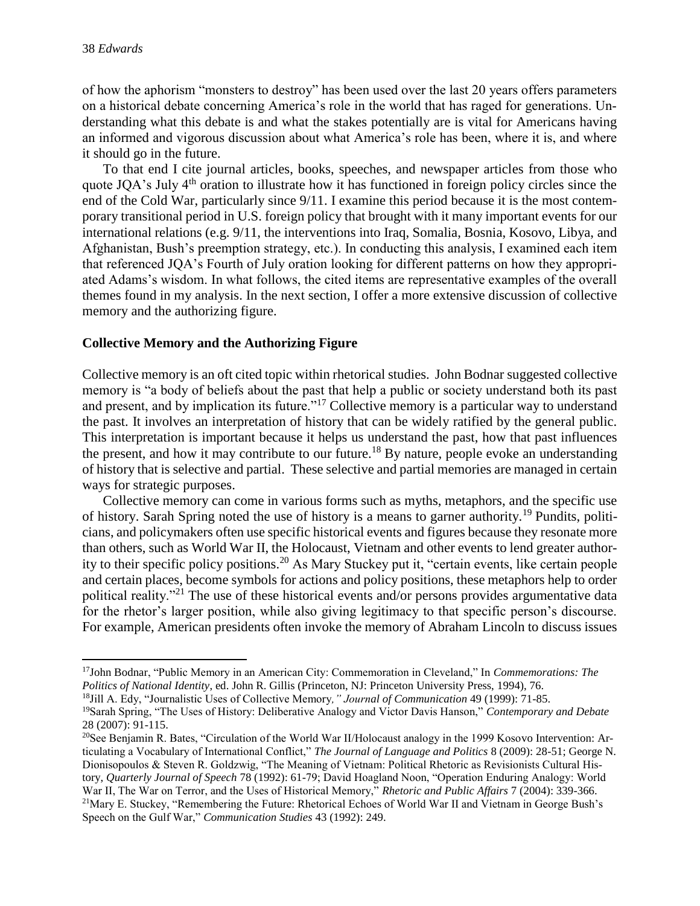of how the aphorism "monsters to destroy" has been used over the last 20 years offers parameters on a historical debate concerning America's role in the world that has raged for generations. Understanding what this debate is and what the stakes potentially are is vital for Americans having an informed and vigorous discussion about what America's role has been, where it is, and where it should go in the future.

To that end I cite journal articles, books, speeches, and newspaper articles from those who quote JQA's July 4<sup>th</sup> oration to illustrate how it has functioned in foreign policy circles since the end of the Cold War, particularly since 9/11. I examine this period because it is the most contemporary transitional period in U.S. foreign policy that brought with it many important events for our international relations (e.g. 9/11, the interventions into Iraq, Somalia, Bosnia, Kosovo, Libya, and Afghanistan, Bush's preemption strategy, etc.). In conducting this analysis, I examined each item that referenced JQA's Fourth of July oration looking for different patterns on how they appropriated Adams's wisdom. In what follows, the cited items are representative examples of the overall themes found in my analysis. In the next section, I offer a more extensive discussion of collective memory and the authorizing figure.

#### **Collective Memory and the Authorizing Figure**

Collective memory is an oft cited topic within rhetorical studies. John Bodnar suggested collective memory is "a body of beliefs about the past that help a public or society understand both its past and present, and by implication its future."<sup>17</sup> Collective memory is a particular way to understand the past. It involves an interpretation of history that can be widely ratified by the general public. This interpretation is important because it helps us understand the past, how that past influences the present, and how it may contribute to our future.<sup>18</sup> By nature, people evoke an understanding of history that is selective and partial. These selective and partial memories are managed in certain ways for strategic purposes.

Collective memory can come in various forms such as myths, metaphors, and the specific use of history. Sarah Spring noted the use of history is a means to garner authority.<sup>19</sup> Pundits, politicians, and policymakers often use specific historical events and figures because they resonate more than others, such as World War II, the Holocaust, Vietnam and other events to lend greater authority to their specific policy positions.<sup>20</sup> As Mary Stuckey put it, "certain events, like certain people and certain places, become symbols for actions and policy positions, these metaphors help to order political reality."<sup>21</sup> The use of these historical events and/or persons provides argumentative data for the rhetor's larger position, while also giving legitimacy to that specific person's discourse. For example, American presidents often invoke the memory of Abraham Lincoln to discuss issues

 $\overline{a}$ <sup>17</sup>John Bodnar, "Public Memory in an American City: Commemoration in Cleveland," In *Commemorations: The Politics of National Identity*, ed. John R. Gillis (Princeton, NJ: Princeton University Press, 1994), 76.

<sup>18</sup>Jill A. Edy, "Journalistic Uses of Collective Memory*," Journal of Communication* 49 (1999): 71-85.

<sup>19</sup>Sarah Spring, "The Uses of History: Deliberative Analogy and Victor Davis Hanson," *Contemporary and Debate* 28 (2007): 91-115.

<sup>&</sup>lt;sup>20</sup>See Benjamin R. Bates, "Circulation of the World War II/Holocaust analogy in the 1999 Kosovo Intervention: Articulating a Vocabulary of International Conflict," *The Journal of Language and Politics* 8 (2009): 28-51; George N. Dionisopoulos & Steven R. Goldzwig, "The Meaning of Vietnam: Political Rhetoric as Revisionists Cultural History, *Quarterly Journal of Speech* 78 (1992): 61-79; David Hoagland Noon, "Operation Enduring Analogy: World War II, The War on Terror, and the Uses of Historical Memory," *Rhetoric and Public Affairs* 7 (2004): 339-366. <sup>21</sup>Mary E. Stuckey, "Remembering the Future: Rhetorical Echoes of World War II and Vietnam in George Bush's Speech on the Gulf War," *Communication Studies* 43 (1992): 249.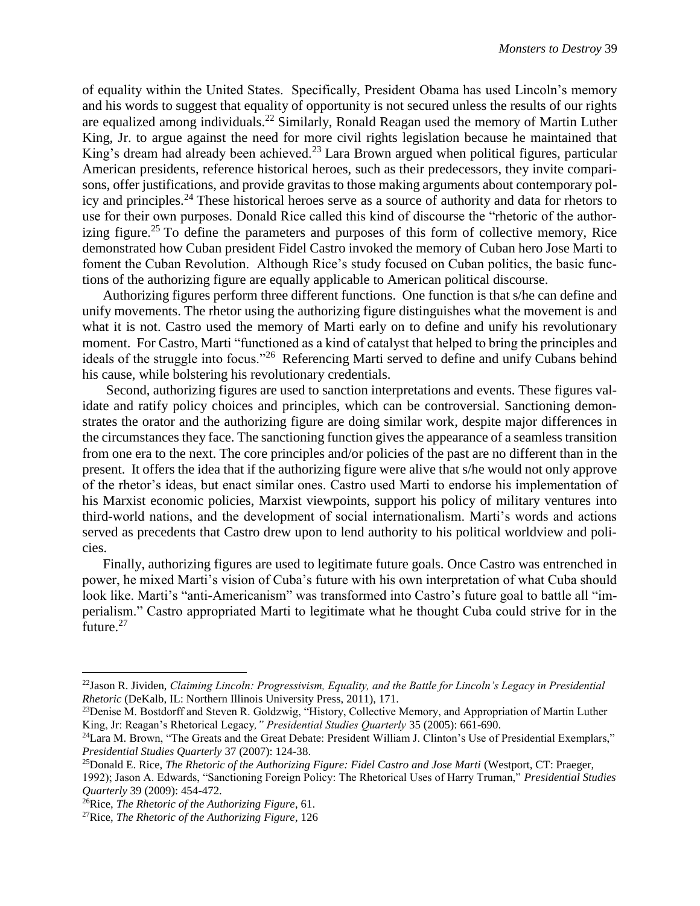of equality within the United States. Specifically, President Obama has used Lincoln's memory and his words to suggest that equality of opportunity is not secured unless the results of our rights are equalized among individuals.<sup>22</sup> Similarly, Ronald Reagan used the memory of Martin Luther King, Jr. to argue against the need for more civil rights legislation because he maintained that King's dream had already been achieved.<sup>23</sup> Lara Brown argued when political figures, particular American presidents, reference historical heroes, such as their predecessors, they invite comparisons, offer justifications, and provide gravitas to those making arguments about contemporary policy and principles.<sup>24</sup> These historical heroes serve as a source of authority and data for rhetors to use for their own purposes. Donald Rice called this kind of discourse the "rhetoric of the authorizing figure.<sup>25</sup> To define the parameters and purposes of this form of collective memory, Rice demonstrated how Cuban president Fidel Castro invoked the memory of Cuban hero Jose Marti to foment the Cuban Revolution. Although Rice's study focused on Cuban politics, the basic functions of the authorizing figure are equally applicable to American political discourse.

Authorizing figures perform three different functions. One function is that s/he can define and unify movements. The rhetor using the authorizing figure distinguishes what the movement is and what it is not. Castro used the memory of Marti early on to define and unify his revolutionary moment. For Castro, Marti "functioned as a kind of catalyst that helped to bring the principles and ideals of the struggle into focus."<sup>26</sup> Referencing Marti served to define and unify Cubans behind his cause, while bolstering his revolutionary credentials.

Second, authorizing figures are used to sanction interpretations and events. These figures validate and ratify policy choices and principles, which can be controversial. Sanctioning demonstrates the orator and the authorizing figure are doing similar work, despite major differences in the circumstances they face. The sanctioning function gives the appearance of a seamless transition from one era to the next. The core principles and/or policies of the past are no different than in the present. It offers the idea that if the authorizing figure were alive that s/he would not only approve of the rhetor's ideas, but enact similar ones. Castro used Marti to endorse his implementation of his Marxist economic policies, Marxist viewpoints, support his policy of military ventures into third-world nations, and the development of social internationalism. Marti's words and actions served as precedents that Castro drew upon to lend authority to his political worldview and policies.

Finally, authorizing figures are used to legitimate future goals. Once Castro was entrenched in power, he mixed Marti's vision of Cuba's future with his own interpretation of what Cuba should look like. Marti's "anti-Americanism" was transformed into Castro's future goal to battle all "imperialism." Castro appropriated Marti to legitimate what he thought Cuba could strive for in the future.<sup>27</sup>

<sup>22</sup>Jason R. Jividen, *Claiming Lincoln: Progressivism, Equality, and the Battle for Lincoln's Legacy in Presidential Rhetoric* (DeKalb, IL: Northern Illinois University Press, 2011), 171.

<sup>&</sup>lt;sup>23</sup>Denise M. Bostdorff and Steven R. Goldzwig, "History, Collective Memory, and Appropriation of Martin Luther King, Jr: Reagan's Rhetorical Legacy*," Presidential Studies Quarterly* 35 (2005): 661-690.

<sup>&</sup>lt;sup>24</sup>Lara M. Brown, "The Greats and the Great Debate: President William J. Clinton's Use of Presidential Exemplars," *Presidential Studies Quarterly* 37 (2007): 124-38.

<sup>25</sup>Donald E. Rice, *The Rhetoric of the Authorizing Figure: Fidel Castro and Jose Marti* (Westport, CT: Praeger, 1992); Jason A. Edwards, "Sanctioning Foreign Policy: The Rhetorical Uses of Harry Truman," *Presidential Studies Quarterly* 39 (2009): 454-472.

<sup>26</sup>Rice, *The Rhetoric of the Authorizing Figure*, 61.

<sup>27</sup>Rice, *The Rhetoric of the Authorizing Figure*, 126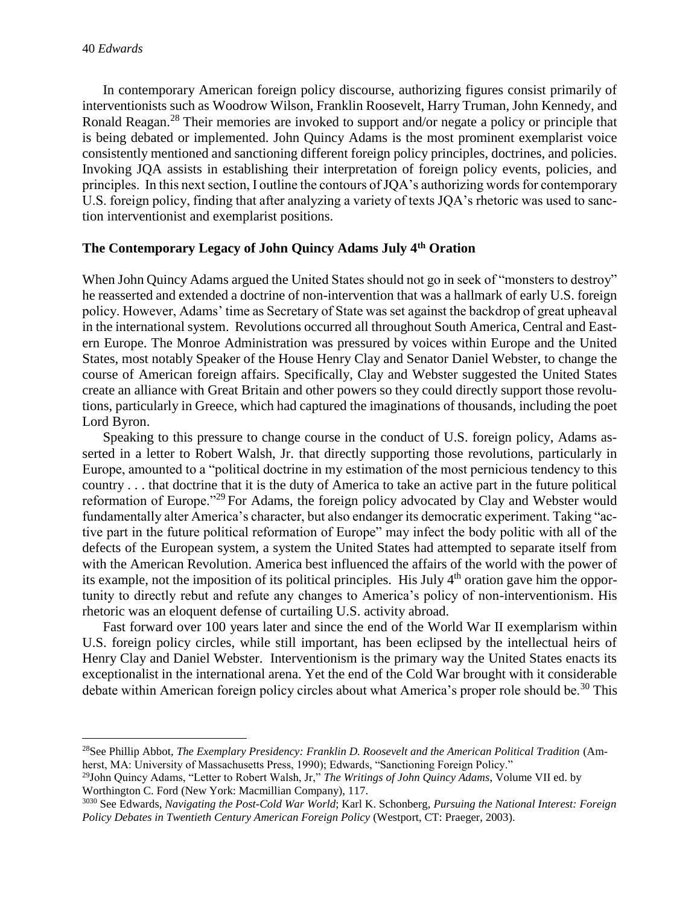l

In contemporary American foreign policy discourse, authorizing figures consist primarily of interventionists such as Woodrow Wilson, Franklin Roosevelt, Harry Truman, John Kennedy, and Ronald Reagan.<sup>28</sup> Their memories are invoked to support and/or negate a policy or principle that is being debated or implemented. John Quincy Adams is the most prominent exemplarist voice consistently mentioned and sanctioning different foreign policy principles, doctrines, and policies. Invoking JQA assists in establishing their interpretation of foreign policy events, policies, and principles. In this next section, I outline the contours of JQA's authorizing words for contemporary U.S. foreign policy, finding that after analyzing a variety of texts JQA's rhetoric was used to sanction interventionist and exemplarist positions.

#### **The Contemporary Legacy of John Quincy Adams July 4th Oration**

When John Quincy Adams argued the United States should not go in seek of "monsters to destroy" he reasserted and extended a doctrine of non-intervention that was a hallmark of early U.S. foreign policy. However, Adams' time as Secretary of State was set against the backdrop of great upheaval in the international system. Revolutions occurred all throughout South America, Central and Eastern Europe. The Monroe Administration was pressured by voices within Europe and the United States, most notably Speaker of the House Henry Clay and Senator Daniel Webster, to change the course of American foreign affairs. Specifically, Clay and Webster suggested the United States create an alliance with Great Britain and other powers so they could directly support those revolutions, particularly in Greece, which had captured the imaginations of thousands, including the poet Lord Byron.

Speaking to this pressure to change course in the conduct of U.S. foreign policy, Adams asserted in a letter to Robert Walsh, Jr. that directly supporting those revolutions, particularly in Europe, amounted to a "political doctrine in my estimation of the most pernicious tendency to this country . . . that doctrine that it is the duty of America to take an active part in the future political reformation of Europe."<sup>29</sup> For Adams, the foreign policy advocated by Clay and Webster would fundamentally alter America's character, but also endanger its democratic experiment. Taking "active part in the future political reformation of Europe" may infect the body politic with all of the defects of the European system, a system the United States had attempted to separate itself from with the American Revolution. America best influenced the affairs of the world with the power of its example, not the imposition of its political principles. His July  $4<sup>th</sup>$  oration gave him the opportunity to directly rebut and refute any changes to America's policy of non-interventionism. His rhetoric was an eloquent defense of curtailing U.S. activity abroad.

Fast forward over 100 years later and since the end of the World War II exemplarism within U.S. foreign policy circles, while still important, has been eclipsed by the intellectual heirs of Henry Clay and Daniel Webster. Interventionism is the primary way the United States enacts its exceptionalist in the international arena. Yet the end of the Cold War brought with it considerable debate within American foreign policy circles about what America's proper role should be.<sup>30</sup> This

<sup>28</sup>See Phillip Abbot, *The Exemplary Presidency: Franklin D. Roosevelt and the American Political Tradition* (Amherst, MA: University of Massachusetts Press, 1990); Edwards, "Sanctioning Foreign Policy."

<sup>29</sup>John Quincy Adams, "Letter to Robert Walsh, Jr," *The Writings of John Quincy Adams*, Volume VII ed. by Worthington C. Ford (New York: Macmillian Company), 117.

<sup>3030</sup> See Edwards, *Navigating the Post-Cold War World*; Karl K. Schonberg, *Pursuing the National Interest: Foreign Policy Debates in Twentieth Century American Foreign Policy* (Westport, CT: Praeger, 2003).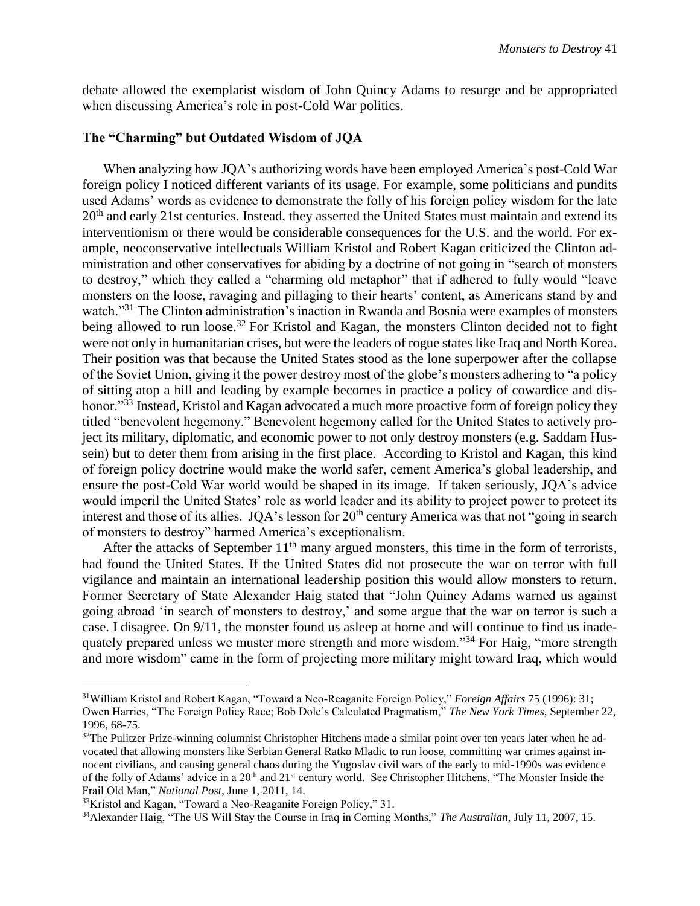debate allowed the exemplarist wisdom of John Quincy Adams to resurge and be appropriated when discussing America's role in post-Cold War politics.

#### **The "Charming" but Outdated Wisdom of JQA**

When analyzing how JQA's authorizing words have been employed America's post-Cold War foreign policy I noticed different variants of its usage. For example, some politicians and pundits used Adams' words as evidence to demonstrate the folly of his foreign policy wisdom for the late  $20<sup>th</sup>$  and early 21st centuries. Instead, they asserted the United States must maintain and extend its interventionism or there would be considerable consequences for the U.S. and the world. For example, neoconservative intellectuals William Kristol and Robert Kagan criticized the Clinton administration and other conservatives for abiding by a doctrine of not going in "search of monsters to destroy," which they called a "charming old metaphor" that if adhered to fully would "leave monsters on the loose, ravaging and pillaging to their hearts' content, as Americans stand by and watch."<sup>31</sup> The Clinton administration's inaction in Rwanda and Bosnia were examples of monsters being allowed to run loose.<sup>32</sup> For Kristol and Kagan, the monsters Clinton decided not to fight were not only in humanitarian crises, but were the leaders of rogue states like Iraq and North Korea. Their position was that because the United States stood as the lone superpower after the collapse of the Soviet Union, giving it the power destroy most of the globe's monsters adhering to "a policy of sitting atop a hill and leading by example becomes in practice a policy of cowardice and dishonor."<sup>33</sup> Instead, Kristol and Kagan advocated a much more proactive form of foreign policy they titled "benevolent hegemony." Benevolent hegemony called for the United States to actively project its military, diplomatic, and economic power to not only destroy monsters (e.g. Saddam Hussein) but to deter them from arising in the first place. According to Kristol and Kagan, this kind of foreign policy doctrine would make the world safer, cement America's global leadership, and ensure the post-Cold War world would be shaped in its image. If taken seriously, JQA's advice would imperil the United States' role as world leader and its ability to project power to protect its interest and those of its allies. JOA's lesson for 20<sup>th</sup> century America was that not "going in search" of monsters to destroy" harmed America's exceptionalism.

After the attacks of September  $11<sup>th</sup>$  many argued monsters, this time in the form of terrorists, had found the United States. If the United States did not prosecute the war on terror with full vigilance and maintain an international leadership position this would allow monsters to return. Former Secretary of State Alexander Haig stated that "John Quincy Adams warned us against going abroad 'in search of monsters to destroy,' and some argue that the war on terror is such a case. I disagree. On 9/11, the monster found us asleep at home and will continue to find us inadequately prepared unless we muster more strength and more wisdom."<sup>34</sup> For Haig, "more strength and more wisdom" came in the form of projecting more military might toward Iraq, which would

<sup>31</sup>William Kristol and Robert Kagan, "Toward a Neo-Reaganite Foreign Policy," *Foreign Affairs* 75 (1996): 31; Owen Harries, "The Foreign Policy Race; Bob Dole's Calculated Pragmatism," *The New York Times*, September 22, 1996, 68-75.

 $32$ The Pulitzer Prize-winning columnist Christopher Hitchens made a similar point over ten years later when he advocated that allowing monsters like Serbian General Ratko Mladic to run loose, committing war crimes against innocent civilians, and causing general chaos during the Yugoslav civil wars of the early to mid-1990s was evidence of the folly of Adams' advice in a 20<sup>th</sup> and 21<sup>st</sup> century world. See Christopher Hitchens, "The Monster Inside the Frail Old Man," *National Post*, June 1, 2011, 14.

<sup>33</sup>Kristol and Kagan, "Toward a Neo-Reaganite Foreign Policy," 31.

<sup>34</sup>Alexander Haig, "The US Will Stay the Course in Iraq in Coming Months," *The Australian*, July 11, 2007, 15.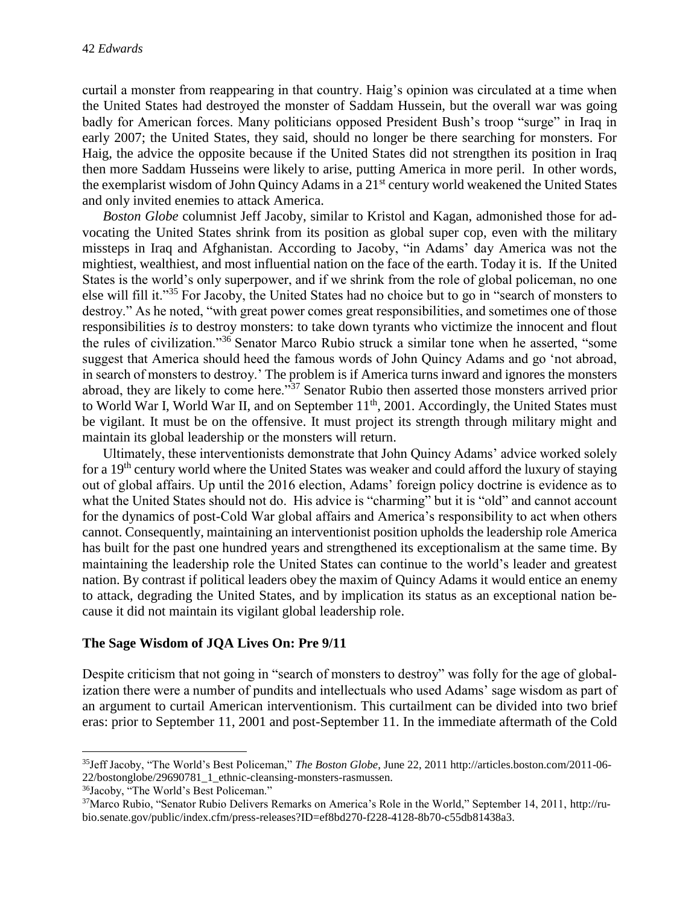curtail a monster from reappearing in that country. Haig's opinion was circulated at a time when the United States had destroyed the monster of Saddam Hussein, but the overall war was going badly for American forces. Many politicians opposed President Bush's troop "surge" in Iraq in early 2007; the United States, they said, should no longer be there searching for monsters. For Haig, the advice the opposite because if the United States did not strengthen its position in Iraq then more Saddam Husseins were likely to arise, putting America in more peril. In other words, the exemplarist wisdom of John Quincy Adams in a 21<sup>st</sup> century world weakened the United States and only invited enemies to attack America.

*Boston Globe* columnist Jeff Jacoby, similar to Kristol and Kagan, admonished those for advocating the United States shrink from its position as global super cop, even with the military missteps in Iraq and Afghanistan. According to Jacoby, "in Adams' day America was not the mightiest, wealthiest, and most influential nation on the face of the earth. Today it is. If the United States is the world's only superpower, and if we shrink from the role of global policeman, no one else will fill it."<sup>35</sup> For Jacoby, the United States had no choice but to go in "search of monsters to destroy." As he noted, "with great power comes great responsibilities, and sometimes one of those responsibilities *is* to destroy monsters: to take down tyrants who victimize the innocent and flout the rules of civilization."<sup>36</sup> Senator Marco Rubio struck a similar tone when he asserted, "some suggest that America should heed the famous words of John Quincy Adams and go 'not abroad, in search of monsters to destroy.' The problem is if America turns inward and ignores the monsters abroad, they are likely to come here."<sup>37</sup> Senator Rubio then asserted those monsters arrived prior to World War I, World War II, and on September 11<sup>th</sup>, 2001. Accordingly, the United States must be vigilant. It must be on the offensive. It must project its strength through military might and maintain its global leadership or the monsters will return.

Ultimately, these interventionists demonstrate that John Quincy Adams' advice worked solely for a 19th century world where the United States was weaker and could afford the luxury of staying out of global affairs. Up until the 2016 election, Adams' foreign policy doctrine is evidence as to what the United States should not do. His advice is "charming" but it is "old" and cannot account for the dynamics of post-Cold War global affairs and America's responsibility to act when others cannot. Consequently, maintaining an interventionist position upholds the leadership role America has built for the past one hundred years and strengthened its exceptionalism at the same time. By maintaining the leadership role the United States can continue to the world's leader and greatest nation. By contrast if political leaders obey the maxim of Quincy Adams it would entice an enemy to attack, degrading the United States, and by implication its status as an exceptional nation because it did not maintain its vigilant global leadership role.

#### **The Sage Wisdom of JQA Lives On: Pre 9/11**

Despite criticism that not going in "search of monsters to destroy" was folly for the age of globalization there were a number of pundits and intellectuals who used Adams' sage wisdom as part of an argument to curtail American interventionism. This curtailment can be divided into two brief eras: prior to September 11, 2001 and post-September 11. In the immediate aftermath of the Cold

 $\overline{a}$ 

<sup>35</sup>Jeff Jacoby, "The World's Best Policeman," *The Boston Globe*, June 22, 2011 http://articles.boston.com/2011-06- 22/bostonglobe/29690781\_1\_ethnic-cleansing-monsters-rasmussen.

<sup>36</sup>Jacoby, "The World's Best Policeman."

<sup>37</sup>Marco Rubio, "Senator Rubio Delivers Remarks on America's Role in the World," September 14, 2011, http://rubio.senate.gov/public/index.cfm/press-releases?ID=ef8bd270-f228-4128-8b70-c55db81438a3.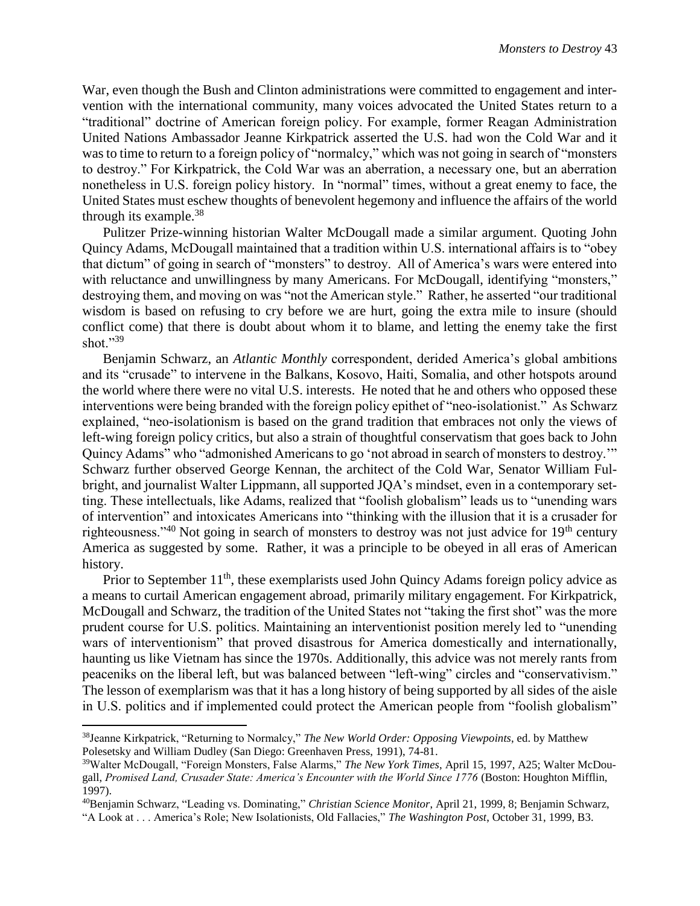War, even though the Bush and Clinton administrations were committed to engagement and intervention with the international community, many voices advocated the United States return to a "traditional" doctrine of American foreign policy. For example, former Reagan Administration United Nations Ambassador Jeanne Kirkpatrick asserted the U.S. had won the Cold War and it was to time to return to a foreign policy of "normalcy," which was not going in search of "monsters" to destroy." For Kirkpatrick, the Cold War was an aberration, a necessary one, but an aberration nonetheless in U.S. foreign policy history. In "normal" times, without a great enemy to face, the United States must eschew thoughts of benevolent hegemony and influence the affairs of the world through its example. $38$ 

Pulitzer Prize-winning historian Walter McDougall made a similar argument. Quoting John Quincy Adams, McDougall maintained that a tradition within U.S. international affairs is to "obey that dictum" of going in search of "monsters" to destroy. All of America's wars were entered into with reluctance and unwillingness by many Americans. For McDougall, identifying "monsters," destroying them, and moving on was "not the American style." Rather, he asserted "our traditional wisdom is based on refusing to cry before we are hurt, going the extra mile to insure (should conflict come) that there is doubt about whom it to blame, and letting the enemy take the first shot." $39$ 

Benjamin Schwarz, an *Atlantic Monthly* correspondent, derided America's global ambitions and its "crusade" to intervene in the Balkans, Kosovo, Haiti, Somalia, and other hotspots around the world where there were no vital U.S. interests. He noted that he and others who opposed these interventions were being branded with the foreign policy epithet of "neo-isolationist." As Schwarz explained, "neo-isolationism is based on the grand tradition that embraces not only the views of left-wing foreign policy critics, but also a strain of thoughtful conservatism that goes back to John Quincy Adams" who "admonished Americans to go 'not abroad in search of monsters to destroy.'" Schwarz further observed George Kennan, the architect of the Cold War, Senator William Fulbright, and journalist Walter Lippmann, all supported JQA's mindset, even in a contemporary setting. These intellectuals, like Adams, realized that "foolish globalism" leads us to "unending wars of intervention" and intoxicates Americans into "thinking with the illusion that it is a crusader for righteousness."<sup>40</sup> Not going in search of monsters to destroy was not just advice for 19<sup>th</sup> century America as suggested by some. Rather, it was a principle to be obeyed in all eras of American history.

Prior to September 11<sup>th</sup>, these exemplarists used John Quincy Adams foreign policy advice as a means to curtail American engagement abroad, primarily military engagement. For Kirkpatrick, McDougall and Schwarz, the tradition of the United States not "taking the first shot" was the more prudent course for U.S. politics. Maintaining an interventionist position merely led to "unending wars of interventionism" that proved disastrous for America domestically and internationally, haunting us like Vietnam has since the 1970s. Additionally, this advice was not merely rants from peaceniks on the liberal left, but was balanced between "left-wing" circles and "conservativism." The lesson of exemplarism was that it has a long history of being supported by all sides of the aisle in U.S. politics and if implemented could protect the American people from "foolish globalism"

<sup>38</sup>Jeanne Kirkpatrick, "Returning to Normalcy," *The New World Order: Opposing Viewpoints*, ed. by Matthew Polesetsky and William Dudley (San Diego: Greenhaven Press, 1991), 74-81.

<sup>39</sup>Walter McDougall, "Foreign Monsters, False Alarms," *The New York Times*, April 15, 1997, A25; Walter McDougall, *Promised Land, Crusader State: America's Encounter with the World Since 1776* (Boston: Houghton Mifflin, 1997).

<sup>40</sup>Benjamin Schwarz, "Leading vs. Dominating," *Christian Science Monitor*, April 21, 1999, 8; Benjamin Schwarz, "A Look at . . . America's Role; New Isolationists, Old Fallacies," *The Washington Post*, October 31, 1999, B3.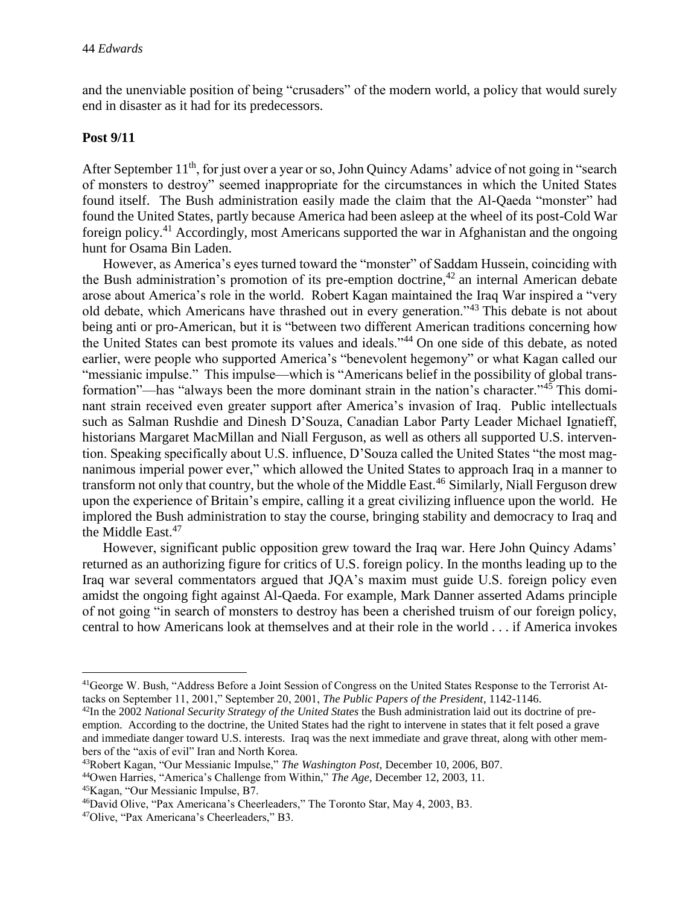and the unenviable position of being "crusaders" of the modern world, a policy that would surely end in disaster as it had for its predecessors.

#### **Post 9/11**

After September 11<sup>th</sup>, for just over a year or so, John Quincy Adams' advice of not going in "search" of monsters to destroy" seemed inappropriate for the circumstances in which the United States found itself. The Bush administration easily made the claim that the Al-Qaeda "monster" had found the United States, partly because America had been asleep at the wheel of its post-Cold War foreign policy.<sup>41</sup> Accordingly, most Americans supported the war in Afghanistan and the ongoing hunt for Osama Bin Laden.

However, as America's eyes turned toward the "monster" of Saddam Hussein, coinciding with the Bush administration's promotion of its pre-emption doctrine,<sup>42</sup> an internal American debate arose about America's role in the world. Robert Kagan maintained the Iraq War inspired a "very old debate, which Americans have thrashed out in every generation."<sup>43</sup> This debate is not about being anti or pro-American, but it is "between two different American traditions concerning how the United States can best promote its values and ideals."<sup>44</sup> On one side of this debate, as noted earlier, were people who supported America's "benevolent hegemony" or what Kagan called our "messianic impulse." This impulse—which is "Americans belief in the possibility of global transformation"—has "always been the more dominant strain in the nation's character."<sup>45</sup> This dominant strain received even greater support after America's invasion of Iraq. Public intellectuals such as Salman Rushdie and Dinesh D'Souza, Canadian Labor Party Leader Michael Ignatieff, historians Margaret MacMillan and Niall Ferguson, as well as others all supported U.S. intervention. Speaking specifically about U.S. influence, D'Souza called the United States "the most magnanimous imperial power ever," which allowed the United States to approach Iraq in a manner to transform not only that country, but the whole of the Middle East.<sup>46</sup> Similarly, Niall Ferguson drew upon the experience of Britain's empire, calling it a great civilizing influence upon the world. He implored the Bush administration to stay the course, bringing stability and democracy to Iraq and the Middle East.<sup>47</sup>

However, significant public opposition grew toward the Iraq war. Here John Quincy Adams' returned as an authorizing figure for critics of U.S. foreign policy. In the months leading up to the Iraq war several commentators argued that JQA's maxim must guide U.S. foreign policy even amidst the ongoing fight against Al-Qaeda. For example, Mark Danner asserted Adams principle of not going "in search of monsters to destroy has been a cherished truism of our foreign policy, central to how Americans look at themselves and at their role in the world . . . if America invokes

 $\overline{\phantom{a}}$ 41George W. Bush, "Address Before a Joint Session of Congress on the United States Response to the Terrorist Attacks on September 11, 2001," September 20, 2001, *The Public Papers of the President*, 1142-1146.

<sup>42</sup>In the 2002 *National Security Strategy of the United States* the Bush administration laid out its doctrine of preemption. According to the doctrine, the United States had the right to intervene in states that it felt posed a grave and immediate danger toward U.S. interests. Iraq was the next immediate and grave threat, along with other members of the "axis of evil" Iran and North Korea.

<sup>43</sup>Robert Kagan, "Our Messianic Impulse," *The Washington Post*, December 10, 2006, B07.

<sup>44</sup>Owen Harries, "America's Challenge from Within," *The Age*, December 12, 2003, 11. <sup>45</sup>Kagan, "Our Messianic Impulse, B7.

<sup>46</sup>David Olive, "Pax Americana's Cheerleaders," The Toronto Star, May 4, 2003, B3.

<sup>47</sup>Olive, "Pax Americana's Cheerleaders," B3.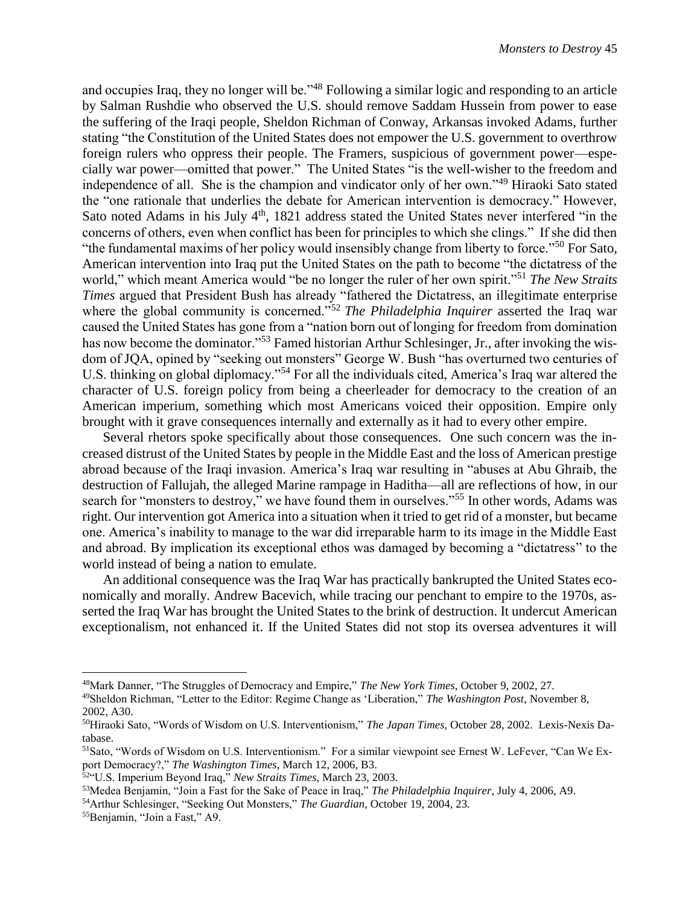and occupies Iraq, they no longer will be."<sup>48</sup> Following a similar logic and responding to an article by Salman Rushdie who observed the U.S. should remove Saddam Hussein from power to ease the suffering of the Iraqi people, Sheldon Richman of Conway, Arkansas invoked Adams, further stating "the Constitution of the United States does not empower the U.S. government to overthrow foreign rulers who oppress their people. The Framers, suspicious of government power—especially war power—omitted that power." The United States "is the well-wisher to the freedom and independence of all. She is the champion and vindicator only of her own."<sup>49</sup> Hiraoki Sato stated the "one rationale that underlies the debate for American intervention is democracy." However, Sato noted Adams in his July  $4<sup>th</sup>$ , 1821 address stated the United States never interfered "in the concerns of others, even when conflict has been for principles to which she clings." If she did then "the fundamental maxims of her policy would insensibly change from liberty to force."<sup>50</sup> For Sato, American intervention into Iraq put the United States on the path to become "the dictatress of the world," which meant America would "be no longer the ruler of her own spirit."<sup>51</sup> *The New Straits Times* argued that President Bush has already "fathered the Dictatress, an illegitimate enterprise where the global community is concerned.<sup>"52</sup> *The Philadelphia Inquirer* asserted the Iraq war caused the United States has gone from a "nation born out of longing for freedom from domination has now become the dominator."<sup>53</sup> Famed historian Arthur Schlesinger, Jr., after invoking the wisdom of JQA, opined by "seeking out monsters" George W. Bush "has overturned two centuries of U.S. thinking on global diplomacy."<sup>54</sup> For all the individuals cited, America's Iraq war altered the character of U.S. foreign policy from being a cheerleader for democracy to the creation of an American imperium, something which most Americans voiced their opposition. Empire only brought with it grave consequences internally and externally as it had to every other empire.

Several rhetors spoke specifically about those consequences. One such concern was the increased distrust of the United States by people in the Middle East and the loss of American prestige abroad because of the Iraqi invasion. America's Iraq war resulting in "abuses at Abu Ghraib, the destruction of Fallujah, the alleged Marine rampage in Haditha—all are reflections of how, in our search for "monsters to destroy," we have found them in ourselves."<sup>55</sup> In other words, Adams was right. Our intervention got America into a situation when it tried to get rid of a monster, but became one. America's inability to manage to the war did irreparable harm to its image in the Middle East and abroad. By implication its exceptional ethos was damaged by becoming a "dictatress" to the world instead of being a nation to emulate.

An additional consequence was the Iraq War has practically bankrupted the United States economically and morally. Andrew Bacevich, while tracing our penchant to empire to the 1970s, asserted the Iraq War has brought the United States to the brink of destruction. It undercut American exceptionalism, not enhanced it. If the United States did not stop its oversea adventures it will

<sup>48</sup>Mark Danner, "The Struggles of Democracy and Empire," *The New York Times*, October 9, 2002, 27.

<sup>49</sup>Sheldon Richman, "Letter to the Editor: Regime Change as 'Liberation," *The Washington Post*, November 8, 2002, A30.

<sup>50</sup>Hiraoki Sato, "Words of Wisdom on U.S. Interventionism," *The Japan Times*, October 28, 2002. Lexis-Nexis Database.

<sup>51</sup>Sato, "Words of Wisdom on U.S. Interventionism." For a similar viewpoint see Ernest W. LeFever, "Can We Export Democracy?," *The Washington Times*, March 12, 2006, B3.

<sup>52</sup>"U.S. Imperium Beyond Iraq," *New Straits Times*, March 23, 2003.

<sup>53</sup>Medea Benjamin, "Join a Fast for the Sake of Peace in Iraq," *The Philadelphia Inquirer*, July 4, 2006, A9.

<sup>54</sup>Arthur Schlesinger, "Seeking Out Monsters," *The Guardian*, October 19, 2004, 23.

<sup>55</sup>Benjamin, "Join a Fast," A9.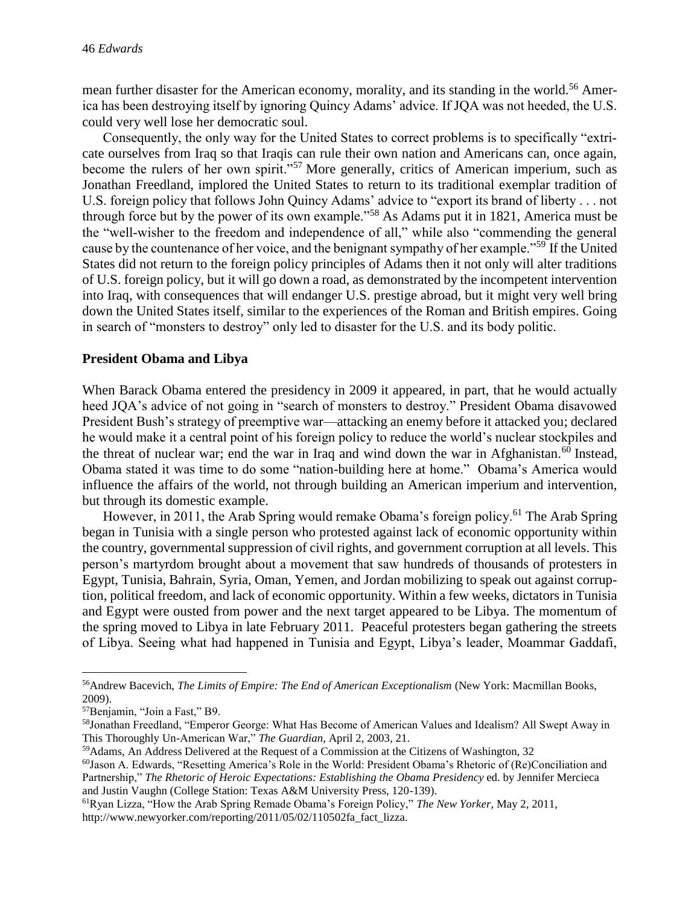mean further disaster for the American economy, morality, and its standing in the world.<sup>56</sup> America has been destroying itself by ignoring Quincy Adams' advice. If JQA was not heeded, the U.S. could very well lose her democratic soul.

Consequently, the only way for the United States to correct problems is to specifically "extricate ourselves from Iraq so that Iraqis can rule their own nation and Americans can, once again, become the rulers of her own spirit."<sup>57</sup> More generally, critics of American imperium, such as Jonathan Freedland, implored the United States to return to its traditional exemplar tradition of U.S. foreign policy that follows John Quincy Adams' advice to "export its brand of liberty . . . not through force but by the power of its own example."<sup>58</sup> As Adams put it in 1821, America must be the "well-wisher to the freedom and independence of all," while also "commending the general cause by the countenance of her voice, and the benignant sympathy of her example."<sup>59</sup> If the United States did not return to the foreign policy principles of Adams then it not only will alter traditions of U.S. foreign policy, but it will go down a road, as demonstrated by the incompetent intervention into Iraq, with consequences that will endanger U.S. prestige abroad, but it might very well bring down the United States itself, similar to the experiences of the Roman and British empires. Going in search of "monsters to destroy" only led to disaster for the U.S. and its body politic.

#### **President Obama and Libya**

When Barack Obama entered the presidency in 2009 it appeared, in part, that he would actually heed JQA's advice of not going in "search of monsters to destroy." President Obama disavowed President Bush's strategy of preemptive war—attacking an enemy before it attacked you; declared he would make it a central point of his foreign policy to reduce the world's nuclear stockpiles and the threat of nuclear war; end the war in Iraq and wind down the war in Afghanistan. $60$  Instead, Obama stated it was time to do some "nation-building here at home." Obama's America would influence the affairs of the world, not through building an American imperium and intervention, but through its domestic example.

However, in 2011, the Arab Spring would remake Obama's foreign policy.<sup>61</sup> The Arab Spring began in Tunisia with a single person who protested against lack of economic opportunity within the country, governmental suppression of civil rights, and government corruption at all levels. This person's martyrdom brought about a movement that saw hundreds of thousands of protesters in Egypt, Tunisia, Bahrain, Syria, Oman, Yemen, and Jordan mobilizing to speak out against corruption, political freedom, and lack of economic opportunity. Within a few weeks, dictators in Tunisia and Egypt were ousted from power and the next target appeared to be Libya. The momentum of the spring moved to Libya in late February 2011. Peaceful protesters began gathering the streets of Libya. Seeing what had happened in Tunisia and Egypt, Libya's leader, Moammar Gaddafi,

<sup>56</sup>Andrew Bacevich, *The Limits of Empire: The End of American Exceptionalism* (New York: Macmillan Books, 2009).

<sup>57</sup>Benjamin, "Join a Fast," B9.

<sup>58</sup>Jonathan Freedland, "Emperor George: What Has Become of American Values and Idealism? All Swept Away in This Thoroughly Un-American War," *The Guardian*, April 2, 2003, 21.

<sup>59</sup>Adams, An Address Delivered at the Request of a Commission at the Citizens of Washington, 32

<sup>60</sup>Jason A. Edwards, "Resetting America's Role in the World: President Obama's Rhetoric of (Re)Conciliation and Partnership," *The Rhetoric of Heroic Expectations: Establishing the Obama Presidency* ed. by Jennifer Mercieca and Justin Vaughn (College Station: Texas A&M University Press, 120-139).

<sup>61</sup>Ryan Lizza, "How the Arab Spring Remade Obama's Foreign Policy," *The New Yorker*, May 2, 2011, http://www.newyorker.com/reporting/2011/05/02/110502fa\_fact\_lizza.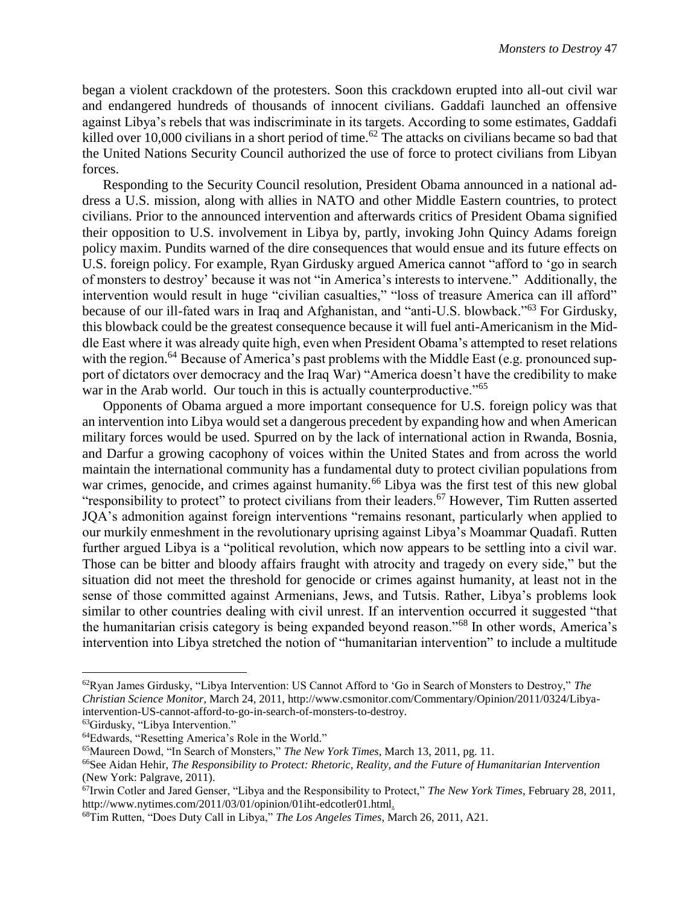began a violent crackdown of the protesters. Soon this crackdown erupted into all-out civil war and endangered hundreds of thousands of innocent civilians. Gaddafi launched an offensive against Libya's rebels that was indiscriminate in its targets. According to some estimates, Gaddafi killed over 10,000 civilians in a short period of time.<sup>62</sup> The attacks on civilians became so bad that the United Nations Security Council authorized the use of force to protect civilians from Libyan forces.

Responding to the Security Council resolution, President Obama announced in a national address a U.S. mission, along with allies in NATO and other Middle Eastern countries, to protect civilians. Prior to the announced intervention and afterwards critics of President Obama signified their opposition to U.S. involvement in Libya by, partly, invoking John Quincy Adams foreign policy maxim. Pundits warned of the dire consequences that would ensue and its future effects on U.S. foreign policy. For example, Ryan Girdusky argued America cannot "afford to 'go in search of monsters to destroy' because it was not "in America's interests to intervene." Additionally, the intervention would result in huge "civilian casualties," "loss of treasure America can ill afford" because of our ill-fated wars in Iraq and Afghanistan, and "anti-U.S. blowback."<sup>63</sup> For Girdusky, this blowback could be the greatest consequence because it will fuel anti-Americanism in the Middle East where it was already quite high, even when President Obama's attempted to reset relations with the region.<sup>64</sup> Because of America's past problems with the Middle East (e.g. pronounced support of dictators over democracy and the Iraq War) "America doesn't have the credibility to make war in the Arab world. Our touch in this is actually counterproductive."<sup>65</sup>

Opponents of Obama argued a more important consequence for U.S. foreign policy was that an intervention into Libya would set a dangerous precedent by expanding how and when American military forces would be used. Spurred on by the lack of international action in Rwanda, Bosnia, and Darfur a growing cacophony of voices within the United States and from across the world maintain the international community has a fundamental duty to protect civilian populations from war crimes, genocide, and crimes against humanity.<sup>66</sup> Libya was the first test of this new global "responsibility to protect" to protect civilians from their leaders.<sup>67</sup> However, Tim Rutten asserted JQA's admonition against foreign interventions "remains resonant, particularly when applied to our murkily enmeshment in the revolutionary uprising against Libya's Moammar Quadafi. Rutten further argued Libya is a "political revolution, which now appears to be settling into a civil war. Those can be bitter and bloody affairs fraught with atrocity and tragedy on every side," but the situation did not meet the threshold for genocide or crimes against humanity, at least not in the sense of those committed against Armenians, Jews, and Tutsis. Rather, Libya's problems look similar to other countries dealing with civil unrest. If an intervention occurred it suggested "that the humanitarian crisis category is being expanded beyond reason."<sup>68</sup> In other words, America's intervention into Libya stretched the notion of "humanitarian intervention" to include a multitude

<sup>62</sup>Ryan James Girdusky, "Libya Intervention: US Cannot Afford to 'Go in Search of Monsters to Destroy," *The Christian Science Monitor*, March 24, 2011, http://www.csmonitor.com/Commentary/Opinion/2011/0324/Libyaintervention-US-cannot-afford-to-go-in-search-of-monsters-to-destroy.

<sup>63</sup>Girdusky, "Libya Intervention."

<sup>64</sup>Edwards, "Resetting America's Role in the World."

<sup>65</sup>Maureen Dowd, "In Search of Monsters," *The New York Times*, March 13, 2011, pg. 11.

<sup>66</sup>See Aidan Hehir, *The Responsibility to Protect: Rhetoric, Reality, and the Future of Humanitarian Intervention* (New York: Palgrave, 2011).

<sup>67</sup>Irwin Cotler and Jared Genser, "Libya and the Responsibility to Protect," *The New York Times*, February 28, 2011, http://www.nytimes.com/2011/03/01/opinion/01iht-edcotler01.html.

<sup>68</sup>Tim Rutten, "Does Duty Call in Libya," *The Los Angeles Times*, March 26, 2011, A21.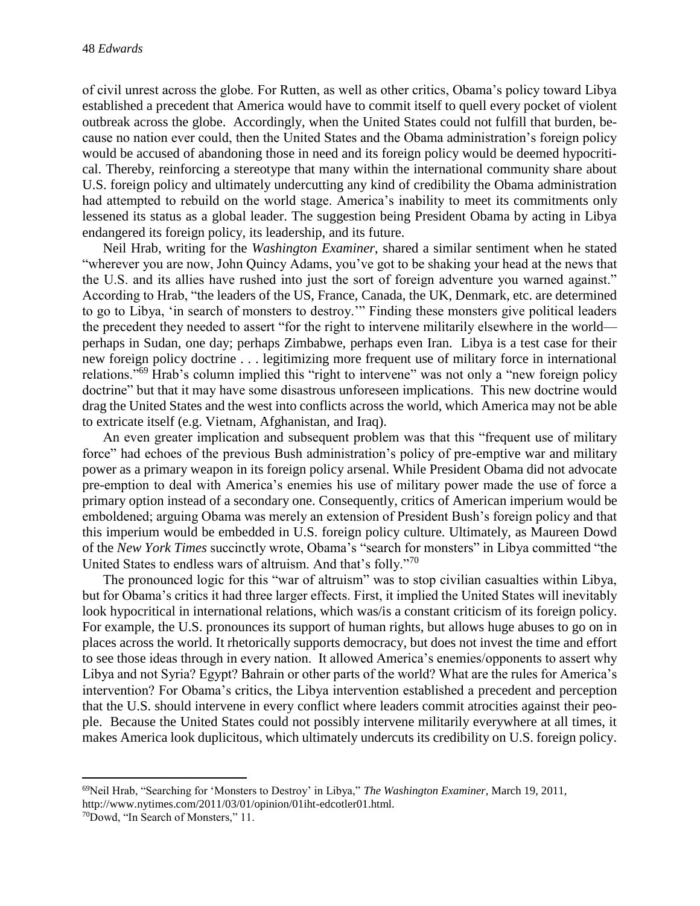of civil unrest across the globe. For Rutten, as well as other critics, Obama's policy toward Libya established a precedent that America would have to commit itself to quell every pocket of violent outbreak across the globe. Accordingly, when the United States could not fulfill that burden, because no nation ever could, then the United States and the Obama administration's foreign policy would be accused of abandoning those in need and its foreign policy would be deemed hypocritical. Thereby, reinforcing a stereotype that many within the international community share about U.S. foreign policy and ultimately undercutting any kind of credibility the Obama administration had attempted to rebuild on the world stage. America's inability to meet its commitments only lessened its status as a global leader. The suggestion being President Obama by acting in Libya endangered its foreign policy, its leadership, and its future.

Neil Hrab, writing for the *Washington Examiner*, shared a similar sentiment when he stated "wherever you are now, John Quincy Adams, you've got to be shaking your head at the news that the U.S. and its allies have rushed into just the sort of foreign adventure you warned against." According to Hrab, "the leaders of the US, France, Canada, the UK, Denmark, etc. are determined to go to Libya, 'in search of monsters to destroy.'" Finding these monsters give political leaders the precedent they needed to assert "for the right to intervene militarily elsewhere in the world perhaps in Sudan, one day; perhaps Zimbabwe, perhaps even Iran. Libya is a test case for their new foreign policy doctrine . . . legitimizing more frequent use of military force in international relations."<sup>69</sup> Hrab's column implied this "right to intervene" was not only a "new foreign policy doctrine" but that it may have some disastrous unforeseen implications. This new doctrine would drag the United States and the west into conflicts across the world, which America may not be able to extricate itself (e.g. Vietnam, Afghanistan, and Iraq).

An even greater implication and subsequent problem was that this "frequent use of military force" had echoes of the previous Bush administration's policy of pre-emptive war and military power as a primary weapon in its foreign policy arsenal. While President Obama did not advocate pre-emption to deal with America's enemies his use of military power made the use of force a primary option instead of a secondary one. Consequently, critics of American imperium would be emboldened; arguing Obama was merely an extension of President Bush's foreign policy and that this imperium would be embedded in U.S. foreign policy culture. Ultimately, as Maureen Dowd of the *New York Times* succinctly wrote, Obama's "search for monsters" in Libya committed "the United States to endless wars of altruism. And that's folly."<sup>70</sup>

The pronounced logic for this "war of altruism" was to stop civilian casualties within Libya, but for Obama's critics it had three larger effects. First, it implied the United States will inevitably look hypocritical in international relations, which was/is a constant criticism of its foreign policy. For example, the U.S. pronounces its support of human rights, but allows huge abuses to go on in places across the world. It rhetorically supports democracy, but does not invest the time and effort to see those ideas through in every nation. It allowed America's enemies/opponents to assert why Libya and not Syria? Egypt? Bahrain or other parts of the world? What are the rules for America's intervention? For Obama's critics, the Libya intervention established a precedent and perception that the U.S. should intervene in every conflict where leaders commit atrocities against their people. Because the United States could not possibly intervene militarily everywhere at all times, it makes America look duplicitous, which ultimately undercuts its credibility on U.S. foreign policy.

 $\overline{\phantom{a}}$ <sup>69</sup>Neil Hrab, "Searching for 'Monsters to Destroy' in Libya," *The Washington Examiner*, March 19, 2011, http://www.nytimes.com/2011/03/01/opinion/01iht-edcotler01.html.

<sup>70</sup>Dowd, "In Search of Monsters," 11.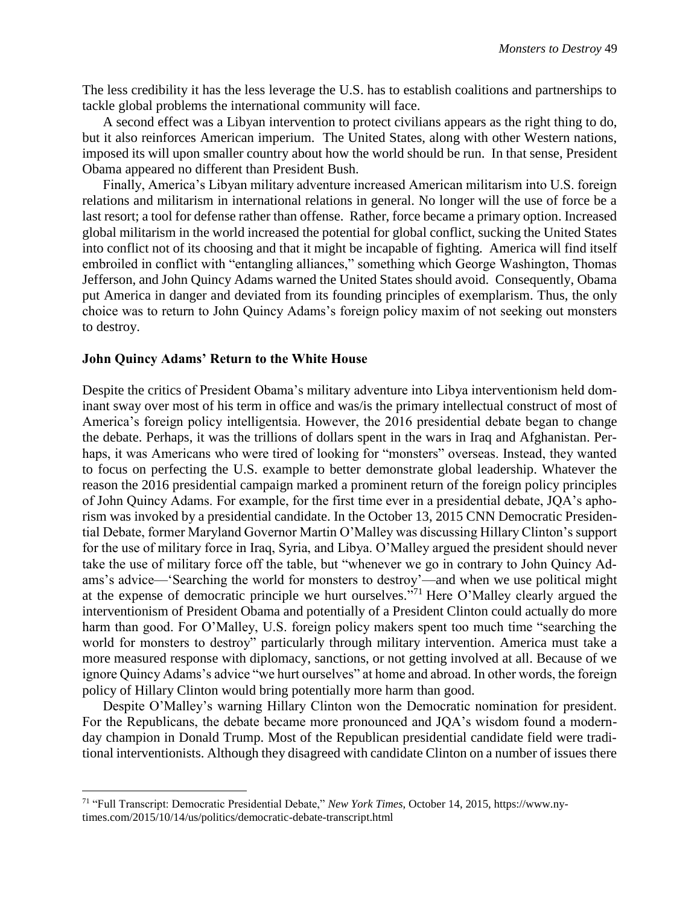The less credibility it has the less leverage the U.S. has to establish coalitions and partnerships to tackle global problems the international community will face.

A second effect was a Libyan intervention to protect civilians appears as the right thing to do, but it also reinforces American imperium. The United States, along with other Western nations, imposed its will upon smaller country about how the world should be run. In that sense, President Obama appeared no different than President Bush.

Finally, America's Libyan military adventure increased American militarism into U.S. foreign relations and militarism in international relations in general. No longer will the use of force be a last resort; a tool for defense rather than offense. Rather, force became a primary option. Increased global militarism in the world increased the potential for global conflict, sucking the United States into conflict not of its choosing and that it might be incapable of fighting. America will find itself embroiled in conflict with "entangling alliances," something which George Washington, Thomas Jefferson, and John Quincy Adams warned the United States should avoid. Consequently, Obama put America in danger and deviated from its founding principles of exemplarism. Thus, the only choice was to return to John Quincy Adams's foreign policy maxim of not seeking out monsters to destroy.

#### **John Quincy Adams' Return to the White House**

 $\overline{\phantom{a}}$ 

Despite the critics of President Obama's military adventure into Libya interventionism held dominant sway over most of his term in office and was/is the primary intellectual construct of most of America's foreign policy intelligentsia. However, the 2016 presidential debate began to change the debate. Perhaps, it was the trillions of dollars spent in the wars in Iraq and Afghanistan. Perhaps, it was Americans who were tired of looking for "monsters" overseas. Instead, they wanted to focus on perfecting the U.S. example to better demonstrate global leadership. Whatever the reason the 2016 presidential campaign marked a prominent return of the foreign policy principles of John Quincy Adams. For example, for the first time ever in a presidential debate, JQA's aphorism was invoked by a presidential candidate. In the October 13, 2015 CNN Democratic Presidential Debate, former Maryland Governor Martin O'Malley was discussing Hillary Clinton's support for the use of military force in Iraq, Syria, and Libya. O'Malley argued the president should never take the use of military force off the table, but "whenever we go in contrary to John Quincy Adams's advice—'Searching the world for monsters to destroy'—and when we use political might at the expense of democratic principle we hurt ourselves."<sup>71</sup> Here O'Malley clearly argued the interventionism of President Obama and potentially of a President Clinton could actually do more harm than good. For O'Malley, U.S. foreign policy makers spent too much time "searching the world for monsters to destroy" particularly through military intervention. America must take a more measured response with diplomacy, sanctions, or not getting involved at all. Because of we ignore Quincy Adams's advice "we hurt ourselves" at home and abroad. In other words, the foreign policy of Hillary Clinton would bring potentially more harm than good.

Despite O'Malley's warning Hillary Clinton won the Democratic nomination for president. For the Republicans, the debate became more pronounced and JQA's wisdom found a modernday champion in Donald Trump. Most of the Republican presidential candidate field were traditional interventionists. Although they disagreed with candidate Clinton on a number of issues there

<sup>71</sup> "Full Transcript: Democratic Presidential Debate," *New York Times*, October 14, 2015, https://www.nytimes.com/2015/10/14/us/politics/democratic-debate-transcript.html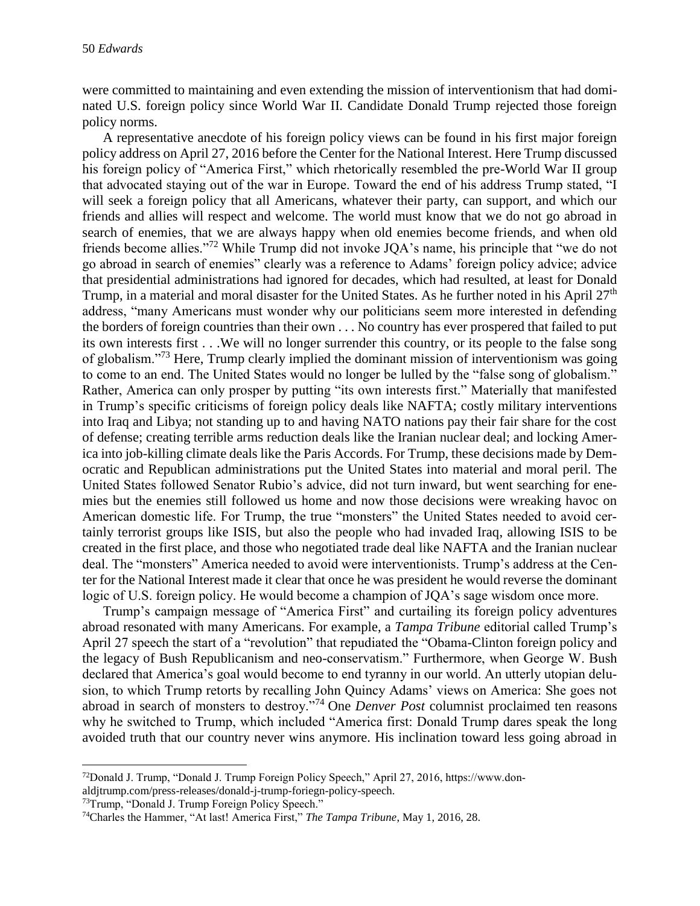were committed to maintaining and even extending the mission of interventionism that had dominated U.S. foreign policy since World War II. Candidate Donald Trump rejected those foreign policy norms.

A representative anecdote of his foreign policy views can be found in his first major foreign policy address on April 27, 2016 before the Center for the National Interest. Here Trump discussed his foreign policy of "America First," which rhetorically resembled the pre-World War II group that advocated staying out of the war in Europe. Toward the end of his address Trump stated, "I will seek a foreign policy that all Americans, whatever their party, can support, and which our friends and allies will respect and welcome. The world must know that we do not go abroad in search of enemies, that we are always happy when old enemies become friends, and when old friends become allies."<sup>72</sup> While Trump did not invoke JQA's name, his principle that "we do not go abroad in search of enemies" clearly was a reference to Adams' foreign policy advice; advice that presidential administrations had ignored for decades, which had resulted, at least for Donald Trump, in a material and moral disaster for the United States. As he further noted in his April 27<sup>th</sup> address, "many Americans must wonder why our politicians seem more interested in defending the borders of foreign countries than their own . . . No country has ever prospered that failed to put its own interests first . . .We will no longer surrender this country, or its people to the false song of globalism."<sup>73</sup> Here, Trump clearly implied the dominant mission of interventionism was going to come to an end. The United States would no longer be lulled by the "false song of globalism." Rather, America can only prosper by putting "its own interests first." Materially that manifested in Trump's specific criticisms of foreign policy deals like NAFTA; costly military interventions into Iraq and Libya; not standing up to and having NATO nations pay their fair share for the cost of defense; creating terrible arms reduction deals like the Iranian nuclear deal; and locking America into job-killing climate deals like the Paris Accords. For Trump, these decisions made by Democratic and Republican administrations put the United States into material and moral peril. The United States followed Senator Rubio's advice, did not turn inward, but went searching for enemies but the enemies still followed us home and now those decisions were wreaking havoc on American domestic life. For Trump, the true "monsters" the United States needed to avoid certainly terrorist groups like ISIS, but also the people who had invaded Iraq, allowing ISIS to be created in the first place, and those who negotiated trade deal like NAFTA and the Iranian nuclear deal. The "monsters" America needed to avoid were interventionists. Trump's address at the Center for the National Interest made it clear that once he was president he would reverse the dominant logic of U.S. foreign policy. He would become a champion of JQA's sage wisdom once more.

Trump's campaign message of "America First" and curtailing its foreign policy adventures abroad resonated with many Americans. For example, a *Tampa Tribune* editorial called Trump's April 27 speech the start of a "revolution" that repudiated the "Obama-Clinton foreign policy and the legacy of Bush Republicanism and neo-conservatism." Furthermore, when George W. Bush declared that America's goal would become to end tyranny in our world. An utterly utopian delusion, to which Trump retorts by recalling John Quincy Adams' views on America: She goes not abroad in search of monsters to destroy."<sup>74</sup> One *Denver Post* columnist proclaimed ten reasons why he switched to Trump, which included "America first: Donald Trump dares speak the long avoided truth that our country never wins anymore. His inclination toward less going abroad in

<sup>72</sup>Donald J. Trump, "Donald J. Trump Foreign Policy Speech," April 27, 2016, https://www.don-

aldjtrump.com/press-releases/donald-j-trump-foriegn-policy-speech.

<sup>73</sup>Trump, "Donald J. Trump Foreign Policy Speech."

<sup>74</sup>Charles the Hammer, "At last! America First," *The Tampa Tribune*, May 1, 2016, 28.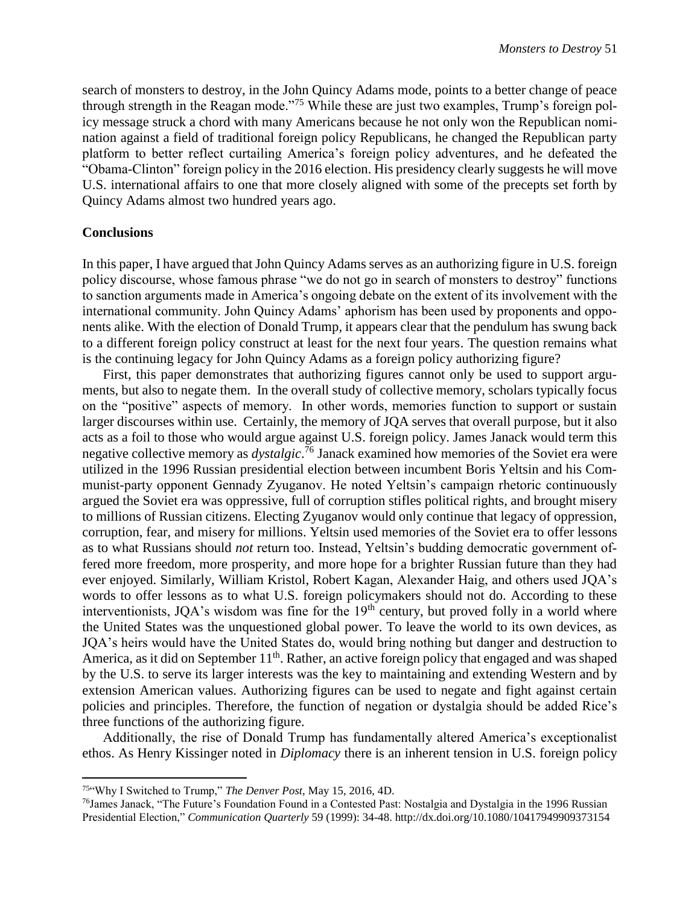search of monsters to destroy, in the John Quincy Adams mode, points to a better change of peace through strength in the Reagan mode."<sup>75</sup> While these are just two examples, Trump's foreign policy message struck a chord with many Americans because he not only won the Republican nomination against a field of traditional foreign policy Republicans, he changed the Republican party platform to better reflect curtailing America's foreign policy adventures, and he defeated the "Obama-Clinton" foreign policy in the 2016 election. His presidency clearly suggests he will move U.S. international affairs to one that more closely aligned with some of the precepts set forth by Quincy Adams almost two hundred years ago.

#### **Conclusions**

 $\overline{\phantom{a}}$ 

In this paper, I have argued that John Quincy Adams serves as an authorizing figure in U.S. foreign policy discourse, whose famous phrase "we do not go in search of monsters to destroy" functions to sanction arguments made in America's ongoing debate on the extent of its involvement with the international community. John Quincy Adams' aphorism has been used by proponents and opponents alike. With the election of Donald Trump, it appears clear that the pendulum has swung back to a different foreign policy construct at least for the next four years. The question remains what is the continuing legacy for John Quincy Adams as a foreign policy authorizing figure?

First, this paper demonstrates that authorizing figures cannot only be used to support arguments, but also to negate them. In the overall study of collective memory, scholars typically focus on the "positive" aspects of memory. In other words, memories function to support or sustain larger discourses within use. Certainly, the memory of JQA serves that overall purpose, but it also acts as a foil to those who would argue against U.S. foreign policy. James Janack would term this negative collective memory as *dystalgic*. <sup>76</sup> Janack examined how memories of the Soviet era were utilized in the 1996 Russian presidential election between incumbent Boris Yeltsin and his Communist-party opponent Gennady Zyuganov. He noted Yeltsin's campaign rhetoric continuously argued the Soviet era was oppressive, full of corruption stifles political rights, and brought misery to millions of Russian citizens. Electing Zyuganov would only continue that legacy of oppression, corruption, fear, and misery for millions. Yeltsin used memories of the Soviet era to offer lessons as to what Russians should *not* return too. Instead, Yeltsin's budding democratic government offered more freedom, more prosperity, and more hope for a brighter Russian future than they had ever enjoyed. Similarly, William Kristol, Robert Kagan, Alexander Haig, and others used JQA's words to offer lessons as to what U.S. foreign policymakers should not do. According to these interventionists, JQA's wisdom was fine for the 19<sup>th</sup> century, but proved folly in a world where the United States was the unquestioned global power. To leave the world to its own devices, as JQA's heirs would have the United States do, would bring nothing but danger and destruction to America, as it did on September 11<sup>th</sup>. Rather, an active foreign policy that engaged and was shaped by the U.S. to serve its larger interests was the key to maintaining and extending Western and by extension American values. Authorizing figures can be used to negate and fight against certain policies and principles. Therefore, the function of negation or dystalgia should be added Rice's three functions of the authorizing figure.

Additionally, the rise of Donald Trump has fundamentally altered America's exceptionalist ethos. As Henry Kissinger noted in *Diplomacy* there is an inherent tension in U.S. foreign policy

<sup>75</sup>"Why I Switched to Trump," *The Denver Post*, May 15, 2016, 4D.

<sup>76</sup>James Janack, "The Future's Foundation Found in a Contested Past: Nostalgia and Dystalgia in the 1996 Russian Presidential Election," *Communication Quarterly* 59 (1999): 34-48. http://dx.doi.org/10.1080/10417949909373154